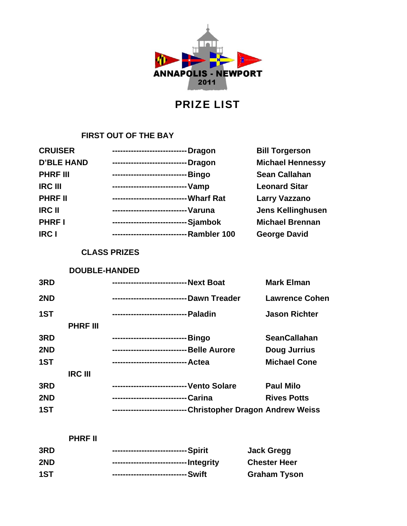

# PRIZE LIST

## **FIRST OUT OF THE BAY**

| <b>CRUISER</b>    | <b>Dragon</b><br>--------------------------- | <b>Bill Torgerson</b>    |
|-------------------|----------------------------------------------|--------------------------|
| <b>D'BLE HAND</b> | Dragon<br>----------------------             | <b>Michael Hennessy</b>  |
| <b>PHRF III</b>   | -Bingo<br>--------------------------         | <b>Sean Callahan</b>     |
| <b>IRC III</b>    |                                              | <b>Leonard Sitar</b>     |
| <b>PHRF II</b>    | -Wharf Rat<br>-------------------------      | <b>Larry Vazzano</b>     |
| <b>IRC II</b>     | -Varuna<br>-------------------------         | <b>Jens Kellinghusen</b> |
| <b>PHRFI</b>      | ----------------------------Sjambok          | <b>Michael Brennan</b>   |
| <b>IRC I</b>      | -Rambler 100<br>--------------------------   | <b>George David</b>      |

### **CLASS PRIZES**

#### **DOUBLE-HANDED**

| 3RD |                 |                                               | <b>Mark Elman</b>     |
|-----|-----------------|-----------------------------------------------|-----------------------|
| 2ND |                 | ---------------------------- Dawn Treader     | <b>Lawrence Cohen</b> |
| 1ST |                 | -Paladin<br>---------------------------       | <b>Jason Richter</b>  |
|     | <b>PHRF III</b> |                                               |                       |
| 3RD |                 | ---------------------------- Bingo            | <b>SeanCallahan</b>   |
| 2ND |                 | ----------------------------- Belle Aurore    | <b>Doug Jurrius</b>   |
| 1ST |                 |                                               | <b>Michael Cone</b>   |
|     | <b>IRC III</b>  |                                               |                       |
| 3RD |                 | - Vento Solare<br>--------------------------- | <b>Paul Milo</b>      |
| 2ND |                 | -Carina<br>----------------------------       | <b>Rives Potts</b>    |
| 1ST |                 | -Christopher Dragon Andrew Weiss              |                       |

| <b>PHRF II</b> |                                        |                     |
|----------------|----------------------------------------|---------------------|
| 3RD            |                                        | Jack Gregg          |
| 2ND            | ---------------------------- Integrity | <b>Chester Heer</b> |
| 1ST            |                                        | <b>Graham Tyson</b> |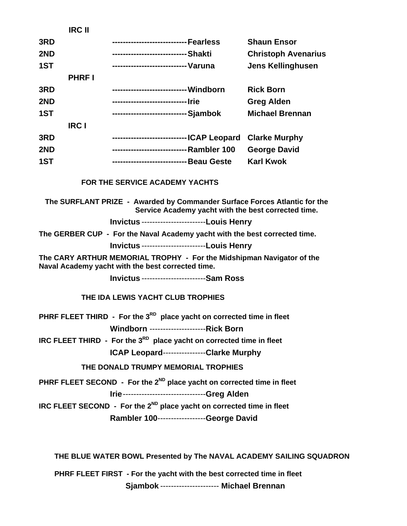|                                                                        | <b>IRC II</b> |                                                                             |  |                                                                                                                                  |  |
|------------------------------------------------------------------------|---------------|-----------------------------------------------------------------------------|--|----------------------------------------------------------------------------------------------------------------------------------|--|
| 3RD                                                                    |               |                                                                             |  | <b>Shaun Ensor</b>                                                                                                               |  |
| 2ND                                                                    |               | ---------------------------- Shakti                                         |  | <b>Christoph Avenarius</b>                                                                                                       |  |
| 1ST                                                                    |               | --------------------------- Varuna                                          |  | <b>Jens Kellinghusen</b>                                                                                                         |  |
|                                                                        | <b>PHRFI</b>  |                                                                             |  |                                                                                                                                  |  |
| 3RD                                                                    |               |                                                                             |  | <b>Rick Born</b>                                                                                                                 |  |
| 2ND                                                                    |               |                                                                             |  | <b>Greg Alden</b>                                                                                                                |  |
| 1ST                                                                    |               |                                                                             |  | <b>Michael Brennan</b>                                                                                                           |  |
|                                                                        | <b>IRC I</b>  |                                                                             |  |                                                                                                                                  |  |
| 3RD                                                                    |               | ---------------------------- ICAP Leopard                                   |  | <b>Clarke Murphy</b>                                                                                                             |  |
| 2ND                                                                    |               | ---------------------------- Rambler 100                                    |  | <b>George David</b>                                                                                                              |  |
| 1ST                                                                    |               | ----------------------------- Beau Geste                                    |  | <b>Karl Kwok</b>                                                                                                                 |  |
|                                                                        |               | FOR THE SERVICE ACADEMY YACHTS                                              |  |                                                                                                                                  |  |
|                                                                        |               |                                                                             |  | The SURFLANT PRIZE - Awarded by Commander Surface Forces Atlantic for the<br>Service Academy yacht with the best corrected time. |  |
|                                                                        |               | <b>Invictus ------------------------Louis Henry</b>                         |  |                                                                                                                                  |  |
|                                                                        |               | The GERBER CUP - For the Naval Academy yacht with the best corrected time.  |  |                                                                                                                                  |  |
|                                                                        |               | <b>Invictus ------------------------Louis Henry</b>                         |  |                                                                                                                                  |  |
|                                                                        |               | Naval Academy yacht with the best corrected time.                           |  | The CARY ARTHUR MEMORIAL TROPHY - For the Midshipman Navigator of the                                                            |  |
|                                                                        |               | <b>Invictus ------------------------Sam Ross</b>                            |  |                                                                                                                                  |  |
|                                                                        |               | THE IDA LEWIS YACHT CLUB TROPHIES                                           |  |                                                                                                                                  |  |
|                                                                        |               | PHRF FLEET THIRD - For the $3RD$ place yacht on corrected time in fleet     |  |                                                                                                                                  |  |
|                                                                        |               | <b>Windborn -----------------------Rick Born</b>                            |  |                                                                                                                                  |  |
|                                                                        |               | IRC FLEET THIRD - For the 3RD place yacht on corrected time in fleet        |  |                                                                                                                                  |  |
|                                                                        |               | ICAP Leopard---------------Clarke Murphy                                    |  |                                                                                                                                  |  |
|                                                                        |               | THE DONALD TRUMPY MEMORIAL TROPHIES                                         |  |                                                                                                                                  |  |
|                                                                        |               | PHRF FLEET SECOND - For the $2^{ND}$ place yacht on corrected time in fleet |  |                                                                                                                                  |  |
|                                                                        |               | Irie------------------------------Greg Alden                                |  |                                                                                                                                  |  |
|                                                                        |               | IRC FLEET SECOND - For the $2^{ND}$ place yacht on corrected time in fleet  |  |                                                                                                                                  |  |
|                                                                        |               | Rambler 100------------------George David                                   |  |                                                                                                                                  |  |
|                                                                        |               |                                                                             |  |                                                                                                                                  |  |
|                                                                        |               |                                                                             |  | THE BLUE WATER BOWL Presented by The NAVAL ACADEMY SAILING SQUADRON                                                              |  |
| PHRF FLEET FIRST - For the yacht with the best corrected time in fleet |               |                                                                             |  |                                                                                                                                  |  |

 **Sjambok** ---------------------- **Michael Brennan**